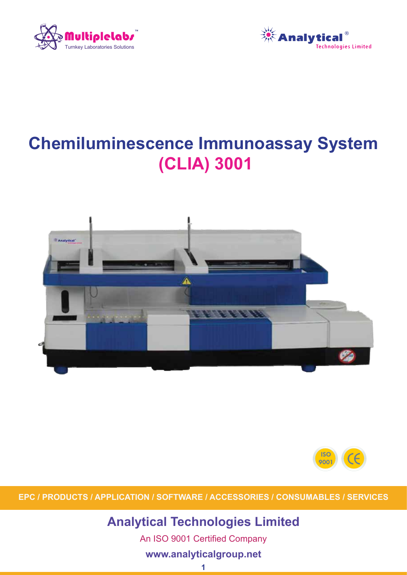



# **Chemiluminescence Immunoassay System (CLIA) 3001**





**EPC / PRODUCTS / APPLICATION / SOFTWARE / ACCESSORIES / CONSUMABLES / SERVICES**

**Analytical Technologies Limited**

An ISO 9001 Certified Company

### **www.analyticalgroup.net**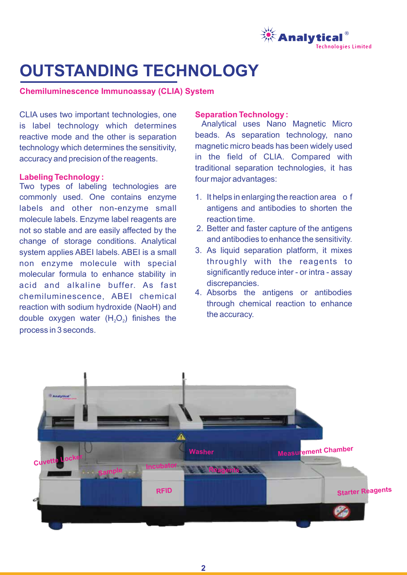

# **OUTSTANDING TECHNOLOGY**

#### **Chemiluminescence Immunoassay (CLIA) System**

CLIA uses two important technologies, one is label technology which determines reactive mode and the other is separation technology which determines the sensitivity, accuracy and precision of the reagents.

#### **Labeling Technology :**

Two types of labeling technologies are commonly used. One contains enzyme labels and other non-enzyme small molecule labels. Enzyme label reagents are not so stable and are easily affected by the change of storage conditions. Analytical system applies ABEI labels. ABEI is a small non enzyme molecule with special molecular formula to enhance stability in acid and alkaline buffer. As fast chemiluminescence, ABEI chemical reaction with sodium hydroxide (NaoH) and double oxygen water  $(H<sub>2</sub>O<sub>2</sub>)$  finishes the process in 3 seconds.

#### **Separation Technology :**

Analytical uses Nano Magnetic Micro beads. As separation technology, nano magnetic micro beads has been widely used in the field of CLIA. Compared with traditional separation technologies, it has four major advantages:

- 1. It helps in enlarging the reaction area o f antigens and antibodies to shorten the reaction time.
- 2. Better and faster capture of the antigens and antibodies to enhance the sensitivity.
- 3. As liquid separation platform, it mixes throughly with the reagents to significantly reduce inter - or intra - assay discrepancies.
- 4. Absorbs the antigens or antibodies through chemical reaction to enhance the accuracy.

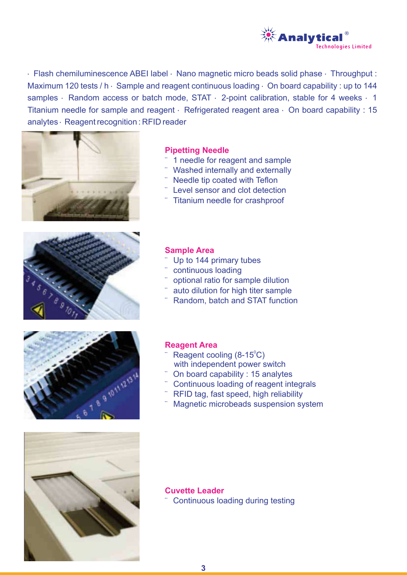

· Flash chemiluminescence ABEI label · Nano magnetic micro beads solid phase · Throughput : Maximum 120 tests / h  $\cdot$  Sample and reagent continuous loading  $\cdot$  On board capability : up to 144 samples · Random access or batch mode, STAT · 2-point calibration, stable for 4 weeks · 1 Titanium needle for sample and reagent · Refrigerated reagent area · On board capability : 15 analytes · Reagent recognition : RFID reader









#### **Pipetting Needle**

- ¨ 1 needle for reagent and sample
- Washed internally and externally
- Needle tip coated with Teflon
- Level sensor and clot detection
- ¨ Titanium needle for crashproof

#### **Sample Area**

- Up to 144 primary tubes
- continuous loading
- optional ratio for sample dilution
- auto dilution for high titer sample
- Random, batch and STAT function

#### **Reagent Area**

¨

- with independent power switch Reagent cooling  $(8-15^{\circ}\mathrm{C})$
- On board capability : 15 analytes
- Continuous loading of reagent integrals
- RFID tag, fast speed, high reliability
- Magnetic microbeads suspension system

### **Cuvette Leader**

**Continuous loading during testing**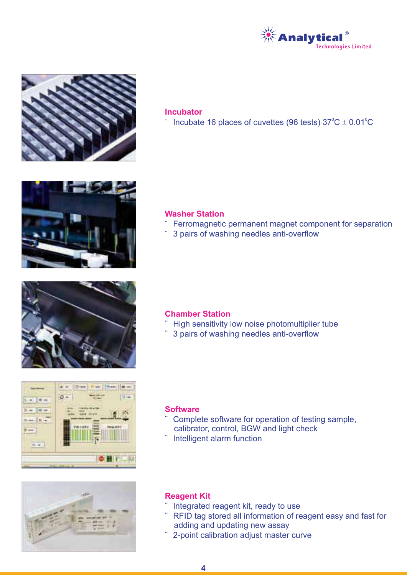



#### **Incubator**

 $\degree$  Incubate 16 places of cuvettes (96 tests) 37 $\mathrm{^oC}\pm 0.01\mathrm{^oC}$ 



#### **Washer Station**

- ¨ Ferromagnetic permanent magnet component for separation
- ¨ 3 pairs of washing needles anti-overflow



#### **Chamber Station**

- ¨ High sensitivity low noise photomultiplier tube
- ¨ 3 pairs of washing needles anti-overflow





#### **Software**

- ¨ calibrator, control, BGW and light check Complete software for operation of testing sample,
- Intelligent alarm function

#### **Reagent Kit**

- ¨ Integrated reagent kit, ready to use
- ¨ adding and updating new assay RFID tag stored all information of reagent easy and fast for
- 2-point calibration adjust master curve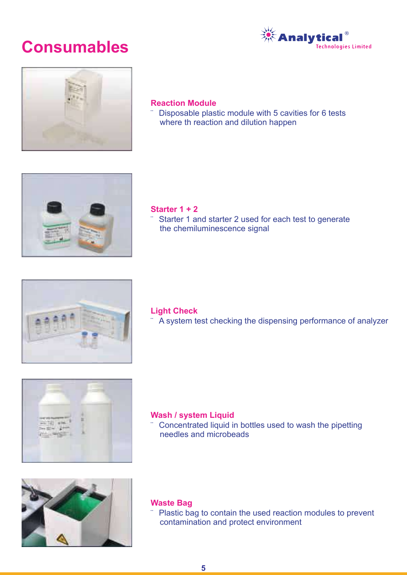## **Consumables**





#### **Reaction Module**

¨ Disposable plastic module with 5 cavities for 6 tests where th reaction and dilution happen



#### **Starter 1 + 2**

¨ Starter 1 and starter 2 used for each test to generate the chemiluminescence signal



#### **Light Check**

¨ A system test checking the dispensing performance of analyzer



#### **Wash / system Liquid**

¨ Concentrated liquid in bottles used to wash the pipetting needles and microbeads



#### **Waste Bag**

¨ Plastic bag to contain the used reaction modules to prevent contamination and protect environment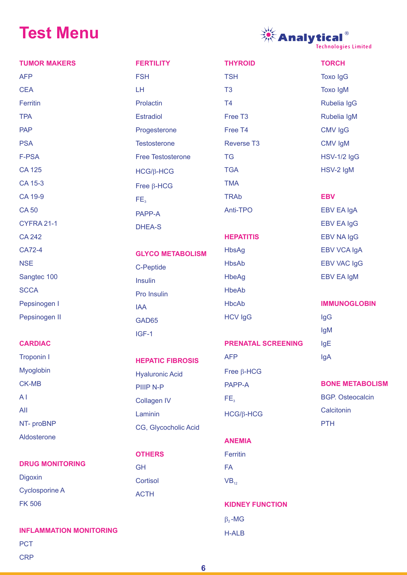# **Test Menu**

**CRP** 



| <b>TUMOR MAKERS</b>                          | <b>FERTILITY</b>         | <b>THYROID</b>            | <b>TORCH</b>            |
|----------------------------------------------|--------------------------|---------------------------|-------------------------|
| <b>AFP</b>                                   | <b>FSH</b>               | <b>TSH</b>                | <b>Toxo IgG</b>         |
| <b>CEA</b>                                   | LH                       | T <sub>3</sub>            | <b>Toxo IgM</b>         |
| Ferritin                                     | Prolactin                | T <sub>4</sub>            | Rubelia IgG             |
| <b>TPA</b>                                   | <b>Estradiol</b>         | Free T <sub>3</sub>       | Rubelia IgM             |
| <b>PAP</b>                                   | Progesterone             | Free T4                   | <b>CMV IgG</b>          |
| <b>PSA</b>                                   | <b>Testosterone</b>      | <b>Reverse T3</b>         | CMV IgM                 |
| F-PSA                                        | <b>Free Testosterone</b> | <b>TG</b>                 | <b>HSV-1/2 IgG</b>      |
| <b>CA 125</b>                                | $HCG/B-HCG$              | <b>TGA</b>                | HSV-2 IgM               |
| CA 15-3                                      | Free $\beta$ -HCG        | <b>TMA</b>                |                         |
| CA 19-9                                      | FE <sub>3</sub>          | <b>TRAb</b>               | <b>EBV</b>              |
| <b>CA50</b>                                  | PAPP-A                   | Anti-TPO                  | <b>EBV EA IgA</b>       |
| CYFRA 21-1                                   | <b>DHEA-S</b>            |                           | <b>EBV EA IgG</b>       |
| <b>CA 242</b>                                |                          | <b>HEPATITIS</b>          | <b>EBV NA IgG</b>       |
| CA72-4                                       | <b>GLYCO METABOLISM</b>  | <b>HbsAg</b>              | <b>EBV VCA IgA</b>      |
| <b>NSE</b>                                   | C-Peptide                | <b>HbsAb</b>              | <b>EBV VAC IgG</b>      |
| Sangtec 100                                  | <b>Insulin</b>           | <b>HbeAg</b>              | <b>EBV EA IgM</b>       |
| <b>SCCA</b>                                  | Pro Insulin              | <b>HbeAb</b>              |                         |
| Pepsinogen I                                 | <b>IAA</b>               | <b>HbcAb</b>              | <b>IMMUNOGLOBIN</b>     |
| Pepsinogen II                                | GAD65                    | <b>HCV IgG</b>            | <b>IgG</b>              |
|                                              | IGF-1                    |                           | lgM                     |
| <b>CARDIAC</b>                               |                          | <b>PRENATAL SCREENING</b> | IgE                     |
| <b>Troponin I</b>                            | <b>HEPATIC FIBROSIS</b>  | <b>AFP</b>                | IgA                     |
| Myoglobin                                    | <b>Hyaluronic Acid</b>   | Free $\beta$ -HCG         |                         |
| <b>CK-MB</b>                                 | PIIIP N-P                | PAPP-A                    | <b>BONE METABOLISM</b>  |
| AI                                           | <b>Collagen IV</b>       | FE <sub>3</sub>           | <b>BGP.</b> Osteocalcin |
| All                                          | Laminin                  | $HGG/B-HCG$               | Calcitonin              |
| NT- proBNP                                   | CG, Glycocholic Acid     |                           | <b>PTH</b>              |
| Aldosterone                                  |                          | <b>ANEMIA</b>             |                         |
|                                              | <b>OTHERS</b>            | Ferritin                  |                         |
| <b>DRUG MONITORING</b>                       | <b>GH</b>                | <b>FA</b>                 |                         |
| <b>Digoxin</b>                               | Cortisol                 | $VB_{12}$                 |                         |
| <b>Cyclosporine A</b>                        | <b>ACTH</b>              |                           |                         |
| <b>FK 506</b>                                |                          | <b>KIDNEY FUNCTION</b>    |                         |
|                                              |                          | $\beta_2$ -MG             |                         |
| <b>INFLAMMATION MONITORING</b><br><b>PCT</b> |                          | H-ALB                     |                         |

**6**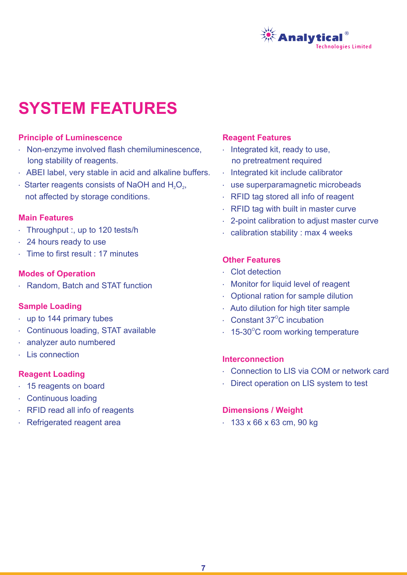

# **SYSTEM FEATURES**

#### **Principle of Luminescence**

- · Non-enzyme involved flash chemiluminescence, long stability of reagents.
- · ABEI label, very stable in acid and alkaline buffers.
- $\cdot$  Starter reagents consists of NaOH and H<sub>2</sub>O<sub>2</sub>, not affected by storage conditions.

#### **Main Features**

- · Throughput :, up to 120 tests/h
- · 24 hours ready to use
- · Time to first result : 17 minutes

#### **Modes of Operation**

· Random, Batch and STAT function

#### **Sample Loading**

- · up to 144 primary tubes
- · Continuous loading, STAT available
- · analyzer auto numbered
- · Lis connection

#### **Reagent Loading**

- · 15 reagents on board
- · Continuous loading
- · RFID read all info of reagents
- · Refrigerated reagent area

#### **Reagent Features**

- · Integrated kit, ready to use, no pretreatment required
- · Integrated kit include calibrator
- · use superparamagnetic microbeads
- · RFID tag stored all info of reagent
- · RFID tag with built in master curve
- · 2-point calibration to adjust master curve
- · calibration stability : max 4 weeks

### **Other Features**

- · Clot detection
- **A Monitor for liquid level of reagent**
- **A** Optional ration for sample dilution
- · Auto dilution for high titer sample
- $\cdot$  Constant 37<sup>o</sup>C incubation
- $\cdot$  15-30°C room working temperature

#### **Interconnection**

- · Connection to LIS via COM or network card
- · Direct operation on LIS system to test

#### **Dimensions / Weight**

· 133 x 66 x 63 cm, 90 kg